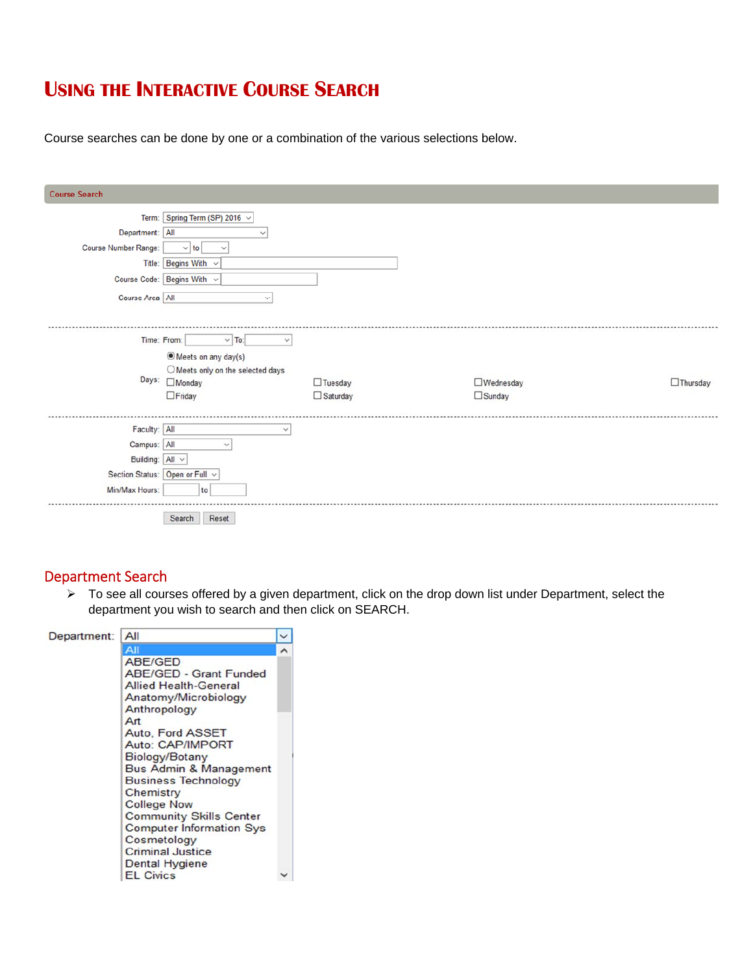## **USING THE INTERACTIVE COURSE SEARCH**

Course searches can be done by one or a combination of the various selections below.

| <b>Course Search</b>                                                  |                                                                                                                                                          |                                   |                             |                 |
|-----------------------------------------------------------------------|----------------------------------------------------------------------------------------------------------------------------------------------------------|-----------------------------------|-----------------------------|-----------------|
| Department: All<br>Course Number Range:<br>Course Area All            | Term: Spring Term (SP) 2016 v<br>$\checkmark$<br>$\vee$ to<br>$\checkmark$<br>Title: Begins With<br>$\checkmark$<br>Course Code: Begins With v<br>$\sim$ |                                   |                             |                 |
|                                                                       | Time: From:<br>$\vee$ To:<br>$\checkmark$<br>◉ Meets on any day(s)<br>O Meets only on the selected days<br>Days: Monday<br>$\Box$ Friday                 | $\Box$ Tuesday<br>$\Box$ Saturday | □Wednesday<br>$\Box$ Sunday | $\Box$ Thursday |
| Faculty: All<br>Campus: All<br>Building: $All \sim$<br>Min/Max Hours: | $\checkmark$<br>$\checkmark$<br>Section Status: Open or Full v<br>to<br>Reset<br>Search                                                                  |                                   |                             |                 |

#### Department Search

 $\triangleright$  To see all courses offered by a given department, click on the drop down list under Department, select the department you wish to search and then click on SEARCH.

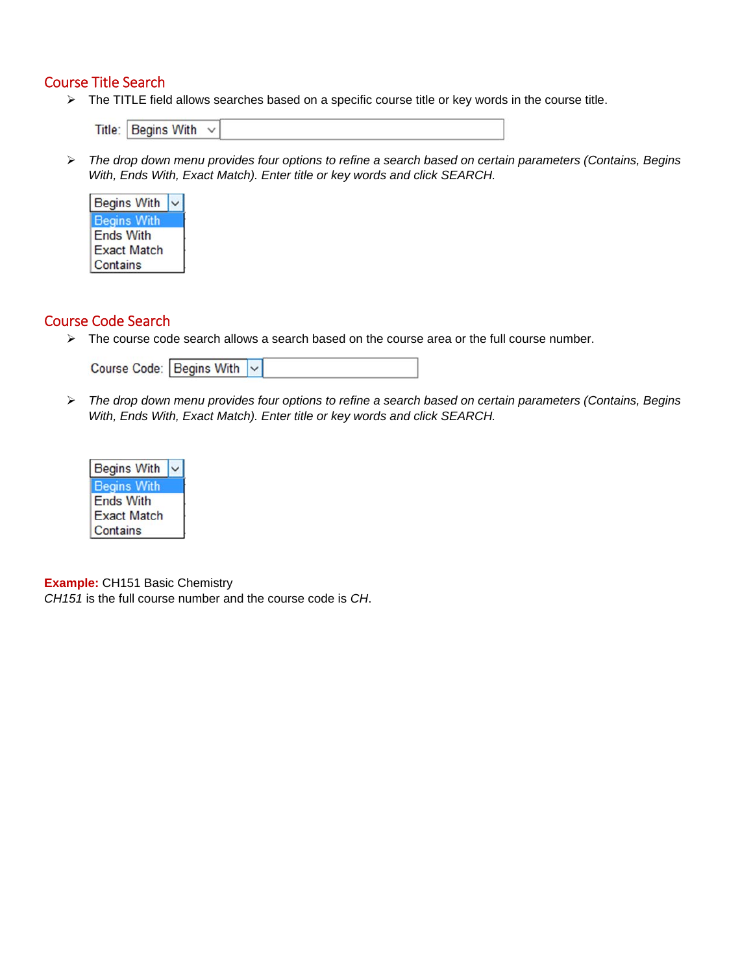#### Course Title Search

> The TITLE field allows searches based on a specific course title or key words in the course title.

Title: Begins With  $\sim$ 

 *The drop down menu provides four options to refine a search based on certain parameters (Contains, Begins With, Ends With, Exact Match). Enter title or key words and click SEARCH.* 



### Course Code Search

 $\triangleright$  The course code search allows a search based on the course area or the full course number.

| Course Code: Begins With v |  |
|----------------------------|--|
|----------------------------|--|

 *The drop down menu provides four options to refine a search based on certain parameters (Contains, Begins With, Ends With, Exact Match). Enter title or key words and click SEARCH.* 



**Example:** CH151 Basic Chemistry

*CH151* is the full course number and the course code is *CH*.